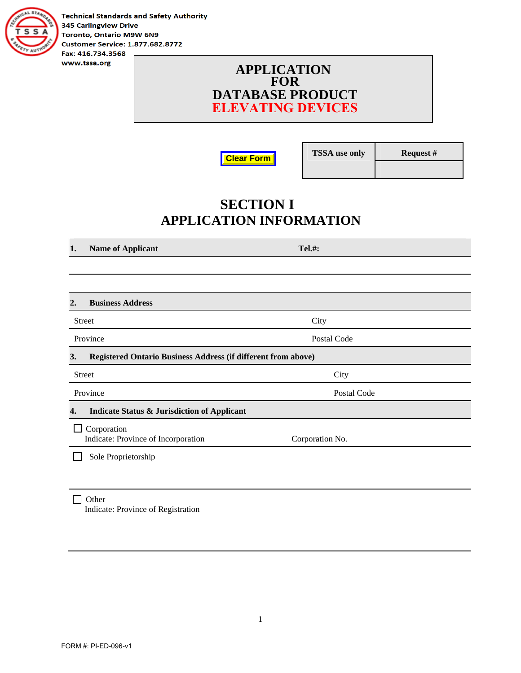

**Technical Standards and Safety Authority 345 Carlingview Drive** Toronto, Ontario M9W 6N9 **Customer Service: 1.877.682.8772** Fax: 416.734.3568

> **APPLICATION FOR DATABASE PRODUCT ELEVATING DEVICES**

**Clear Form**

**TSSA use only Request #** 

## **SECTION I APPLICATION INFORMATION**

**1.** Name of Applicant Tel.#:

| 2.            | <b>Business Address</b>                                       |                 |  |
|---------------|---------------------------------------------------------------|-----------------|--|
| <b>Street</b> |                                                               | City            |  |
| Province      |                                                               | Postal Code     |  |
| 3.            | Registered Ontario Business Address (if different from above) |                 |  |
| <b>Street</b> |                                                               | City            |  |
| Province      |                                                               | Postal Code     |  |
| 4.            | <b>Indicate Status &amp; Jurisdiction of Applicant</b>        |                 |  |
|               | Corporation<br>Indicate: Province of Incorporation            | Corporation No. |  |
|               | Sole Proprietorship                                           |                 |  |
|               |                                                               |                 |  |

 $\Box$  Other Indicate: Province of Registration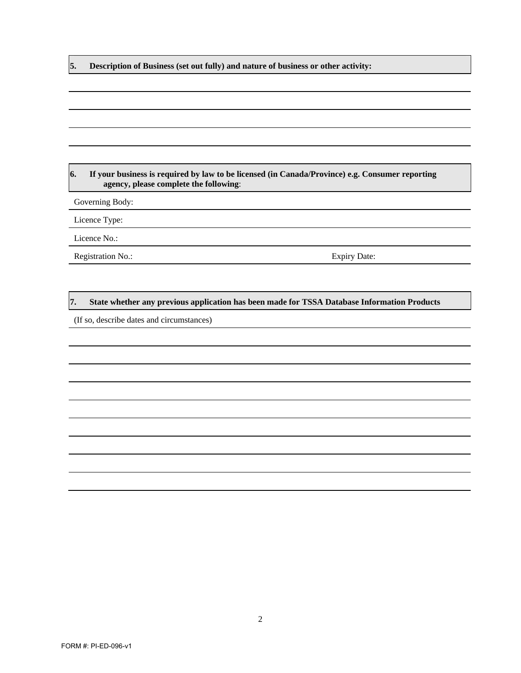**5. Description of Business (set out fully) and nature of business or other activity:** 

#### **6. If your business is required by law to be licensed (in Canada/Province) e.g. Consumer reporting agency, please complete the following**:

Governing Body:

Licence Type:

Licence No.:

Registration No.: Expiry Date:

#### **7. State whether any previous application has been made for TSSA Database Information Products**

(If so, describe dates and circumstances)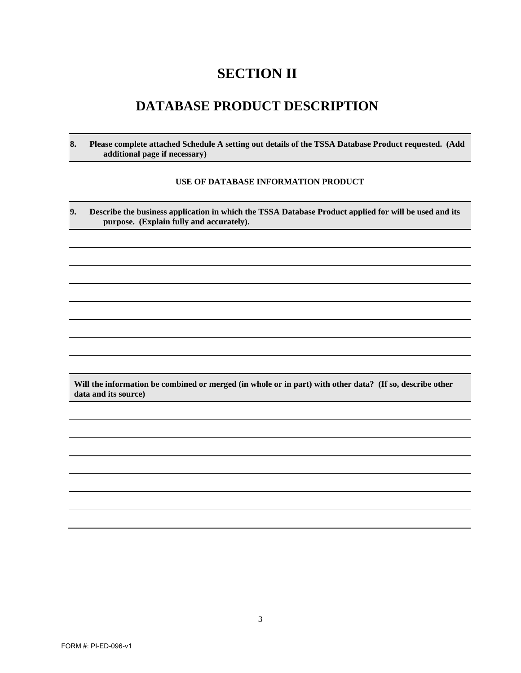## **SECTION II**

#### **DATABASE PRODUCT DESCRIPTION**

**8. Please complete attached Schedule A setting out details of the TSSA Database Product requested. (Add additional page if necessary)** 

#### **USE OF DATABASE INFORMATION PRODUCT**

**9. Describe the business application in which the TSSA Database Product applied for will be used and its purpose. (Explain fully and accurately).** 

**Will the information be combined or merged (in whole or in part) with other data? (If so, describe other data and its source)**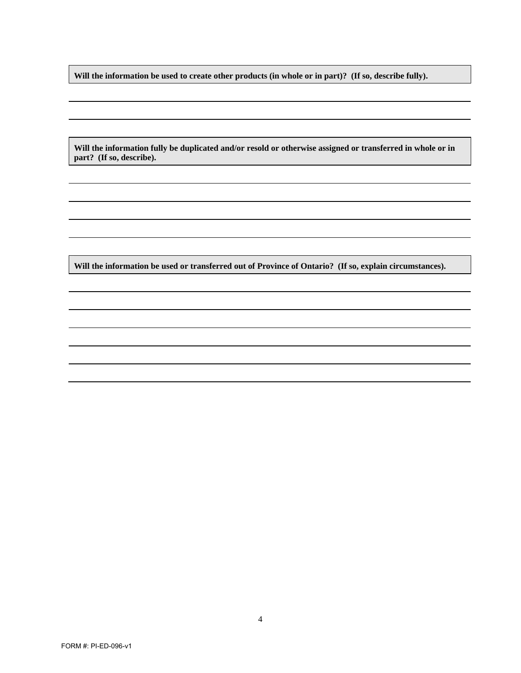**Will the information be used to create other products (in whole or in part)? (If so, describe fully).** 

**Will the information fully be duplicated and/or resold or otherwise assigned or transferred in whole or in part? (If so, describe).** 

**Will the information be used or transferred out of Province of Ontario? (If so, explain circumstances).**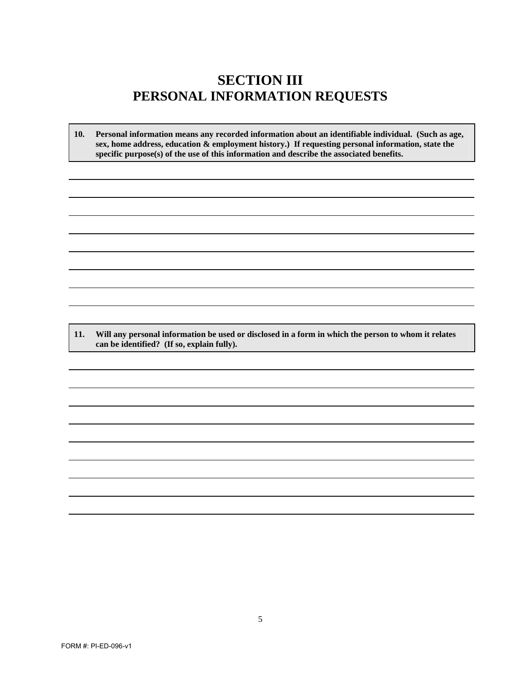### **SECTION III PERSONAL INFORMATION REQUESTS**

**10. Personal information means any recorded information about an identifiable individual. (Such as age, sex, home address, education & employment history.) If requesting personal information, state the specific purpose(s) of the use of this information and describe the associated benefits.**

**11. Will any personal information be used or disclosed in a form in which the person to whom it relates can be identified? (If so, explain fully).**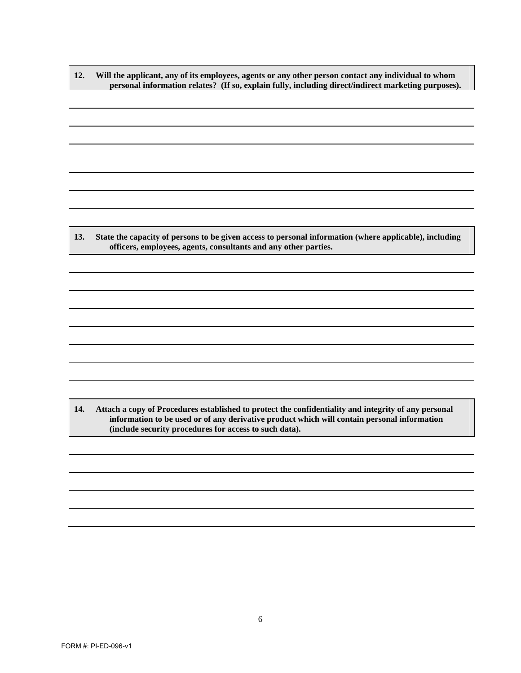**12. Will the applicant, any of its employees, agents or any other person contact any individual to whom personal information relates? (If so, explain fully, including direct/indirect marketing purposes).** 

**13. State the capacity of persons to be given access to personal information (where applicable), including officers, employees, agents, consultants and any other parties.** 

**14. Attach a copy of Procedures established to protect the confidentiality and integrity of any personal information to be used or of any derivative product which will contain personal information (include security procedures for access to such data).**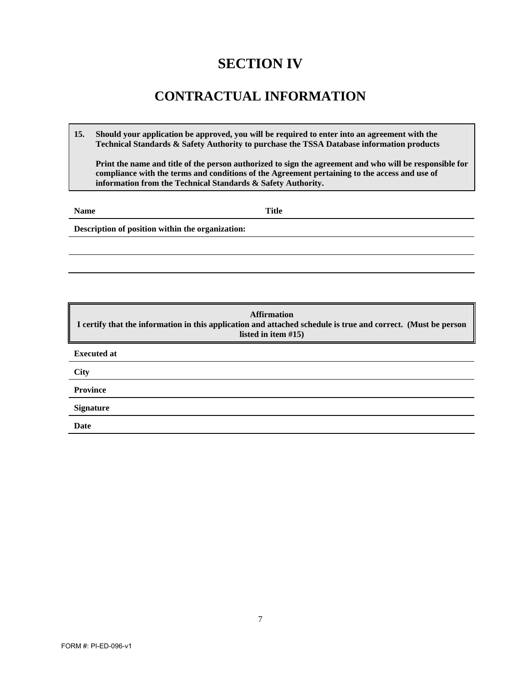## **SECTION IV**

### **CONTRACTUAL INFORMATION**

**15. Should your application be approved, you will be required to enter into an agreement with the Technical Standards & Safety Authority to purchase the TSSA Database information products**

**Print the name and title of the person authorized to sign the agreement and who will be responsible for compliance with the terms and conditions of the Agreement pertaining to the access and use of information from the Technical Standards & Safety Authority.**

**Name** Title

**Description of position within the organization:** 

**Affirmation I certify that the information in this application and attached schedule is true and correct. (Must be person listed in item #15) Executed at City Province Signature Date**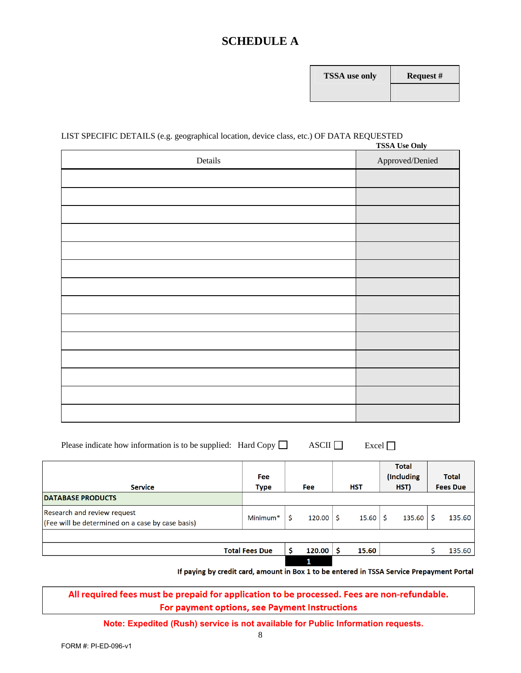#### **SCHEDULE A**

| <b>FSSA</b> use only | R٤ |
|----------------------|----|
|                      |    |

#### LIST SPECIFIC DETAILS (e.g. geographical location, device class, etc.) OF DATA REQUESTED **TSSA Use Only**

| Details | <b>155A USE OIIIY</b><br>Approved/Denied |
|---------|------------------------------------------|
|         |                                          |
|         |                                          |
|         |                                          |
|         |                                          |
|         |                                          |
|         |                                          |
|         |                                          |
|         |                                          |
|         |                                          |
|         |                                          |
|         |                                          |
|         |                                          |
|         |                                          |
|         |                                          |

| Please indicate how information is to be supplied: Hard Copy $\Box$ |  | $\overline{\text{ASCII}}$ | Excel $\Box$ |
|---------------------------------------------------------------------|--|---------------------------|--------------|
|---------------------------------------------------------------------|--|---------------------------|--------------|

| <b>Service</b>                                                                  | <b>Fee</b><br><b>Type</b> | <b>Fee</b> | <b>HST</b> | <b>Total</b><br>(Including<br>HST) | <b>Total</b><br><b>Fees Due</b> |
|---------------------------------------------------------------------------------|---------------------------|------------|------------|------------------------------------|---------------------------------|
| <b>DATABASE PRODUCTS</b>                                                        |                           |            |            |                                    |                                 |
| Research and review request<br>(Fee will be determined on a case by case basis) | Minimum <sup>*</sup>      | 120.00     | 15.60      | 135.60                             | 135.60                          |
|                                                                                 |                           |            |            |                                    |                                 |
|                                                                                 | <b>Total Fees Due</b>     | 120.00     | 15.60      |                                    | 135.60                          |
|                                                                                 |                           | 1          |            |                                    |                                 |

If paying by credit card, amount in Box 1 to be entered in TSSA Service Prepayment Portal

All required fees must be prepaid for application to be processed. Fees are non-refundable. For payment options, see Payment Instructions

**Note: Expedited (Rush) service is not available for Public Information requests.**